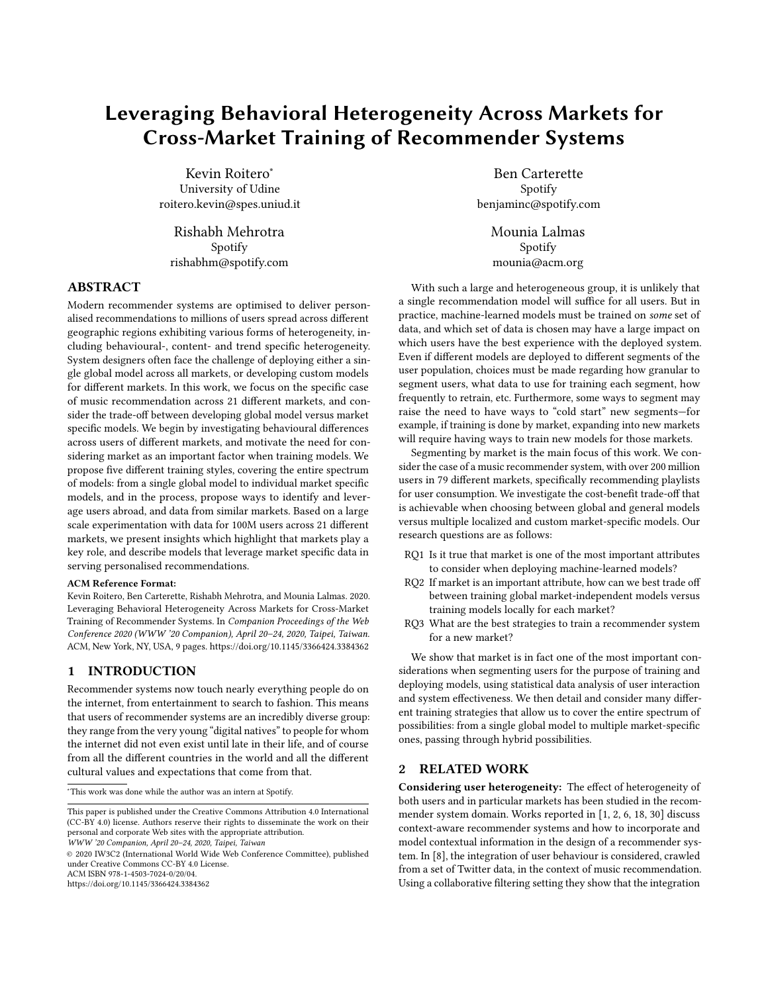# Leveraging Behavioral Heterogeneity Across Markets for Cross-Market Training of Recommender Systems

Kevin Roitero<sup>∗</sup> University of Udine roitero.kevin@spes.uniud.it

Rishabh Mehrotra Spotify rishabhm@spotify.com

# ABSTRACT

Modern recommender systems are optimised to deliver personalised recommendations to millions of users spread across different geographic regions exhibiting various forms of heterogeneity, including behavioural-, content- and trend specific heterogeneity. System designers often face the challenge of deploying either a single global model across all markets, or developing custom models for different markets. In this work, we focus on the specific case of music recommendation across 21 different markets, and consider the trade-off between developing global model versus market specific models. We begin by investigating behavioural differences across users of different markets, and motivate the need for considering market as an important factor when training models. We propose five different training styles, covering the entire spectrum of models: from a single global model to individual market specific models, and in the process, propose ways to identify and leverage users abroad, and data from similar markets. Based on a large scale experimentation with data for 100M users across 21 different markets, we present insights which highlight that markets play a key role, and describe models that leverage market specific data in serving personalised recommendations.

#### ACM Reference Format:

Kevin Roitero, Ben Carterette, Rishabh Mehrotra, and Mounia Lalmas. 2020. Leveraging Behavioral Heterogeneity Across Markets for Cross-Market Training of Recommender Systems. In Companion Proceedings of the Web Conference 2020 (WWW '20 Companion), April 20–24, 2020, Taipei, Taiwan. ACM, New York, NY, USA, [9](#page-8-0) pages.<https://doi.org/10.1145/3366424.3384362>

# 1 INTRODUCTION

Recommender systems now touch nearly everything people do on the internet, from entertainment to search to fashion. This means that users of recommender systems are an incredibly diverse group: they range from the very young "digital natives" to people for whom the internet did not even exist until late in their life, and of course from all the different countries in the world and all the different cultural values and expectations that come from that.

<sup>∗</sup>This work was done while the author was an intern at Spotify.

© 2020 IW3C2 (International World Wide Web Conference Committee), published under Creative Commons CC-BY 4.0 License.

ACM ISBN 978-1-4503-7024-0/20/04.

<https://doi.org/10.1145/3366424.3384362>

Ben Carterette Spotify benjaminc@spotify.com

> Mounia Lalmas Spotify mounia@acm.org

With such a large and heterogeneous group, it is unlikely that a single recommendation model will suffice for all users. But in practice, machine-learned models must be trained on some set of data, and which set of data is chosen may have a large impact on which users have the best experience with the deployed system. Even if different models are deployed to different segments of the user population, choices must be made regarding how granular to segment users, what data to use for training each segment, how frequently to retrain, etc. Furthermore, some ways to segment may raise the need to have ways to "cold start" new segments—for example, if training is done by market, expanding into new markets will require having ways to train new models for those markets.

Segmenting by market is the main focus of this work. We consider the case of a music recommender system, with over 200 million users in 79 different markets, specifically recommending playlists for user consumption. We investigate the cost-benefit trade-off that is achievable when choosing between global and general models versus multiple localized and custom market-specific models. Our research questions are as follows:

- RQ1 Is it true that market is one of the most important attributes to consider when deploying machine-learned models?
- RQ2 If market is an important attribute, how can we best trade off between training global market-independent models versus training models locally for each market?
- RQ3 What are the best strategies to train a recommender system for a new market?

We show that market is in fact one of the most important considerations when segmenting users for the purpose of training and deploying models, using statistical data analysis of user interaction and system effectiveness. We then detail and consider many different training strategies that allow us to cover the entire spectrum of possibilities: from a single global model to multiple market-specific ones, passing through hybrid possibilities.

#### 2 RELATED WORK

Considering user heterogeneity: The effect of heterogeneity of both users and in particular markets has been studied in the recommender system domain. Works reported in [\[1,](#page-7-0) [2,](#page-7-1) [6,](#page-7-2) [18,](#page-7-3) [30\]](#page-8-1) discuss context-aware recommender systems and how to incorporate and model contextual information in the design of a recommender system. In [\[8\]](#page-7-4), the integration of user behaviour is considered, crawled from a set of Twitter data, in the context of music recommendation. Using a collaborative filtering setting they show that the integration

This paper is published under the Creative Commons Attribution 4.0 International (CC-BY 4.0) license. Authors reserve their rights to disseminate the work on their personal and corporate Web sites with the appropriate attribution.

WWW '20 Companion, April 20–24, 2020, Taipei, Taiwan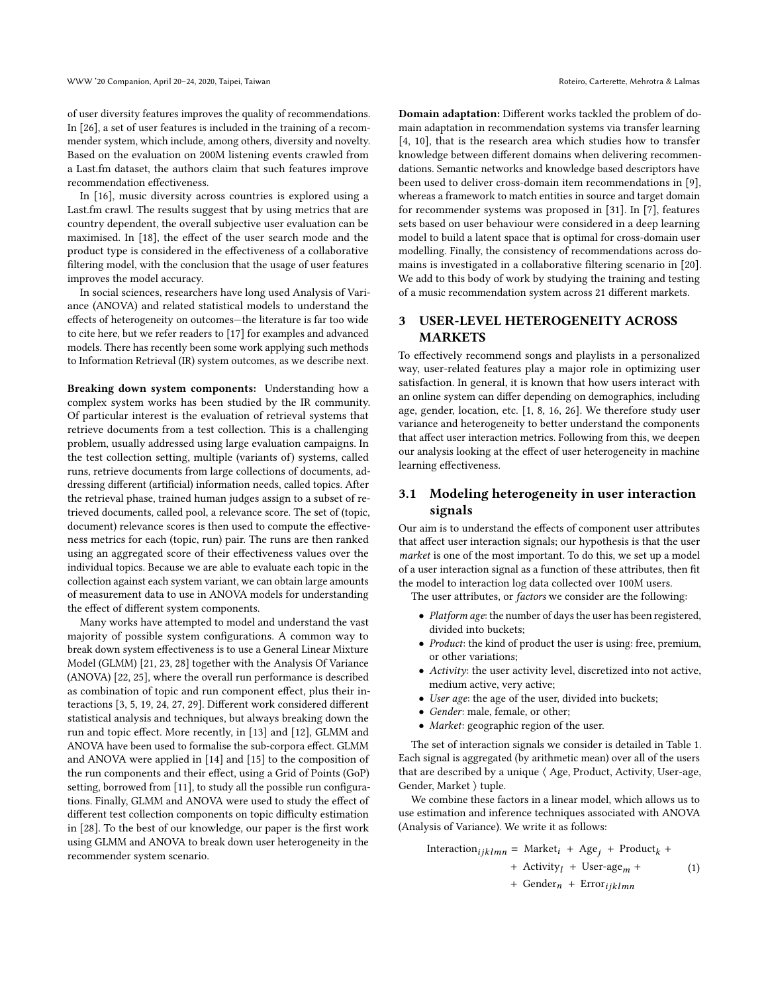of user diversity features improves the quality of recommendations. In [\[26\]](#page-8-2), a set of user features is included in the training of a recommender system, which include, among others, diversity and novelty. Based on the evaluation on 200M listening events crawled from a Last.fm dataset, the authors claim that such features improve recommendation effectiveness.

In [\[16\]](#page-7-5), music diversity across countries is explored using a Last.fm crawl. The results suggest that by using metrics that are country dependent, the overall subjective user evaluation can be maximised. In [\[18\]](#page-7-3), the effect of the user search mode and the product type is considered in the effectiveness of a collaborative filtering model, with the conclusion that the usage of user features improves the model accuracy.

In social sciences, researchers have long used Analysis of Variance (ANOVA) and related statistical models to understand the effects of heterogeneity on outcomes—the literature is far too wide to cite here, but we refer readers to [\[17\]](#page-7-6) for examples and advanced models. There has recently been some work applying such methods to Information Retrieval (IR) system outcomes, as we describe next.

Breaking down system components: Understanding how a complex system works has been studied by the IR community. Of particular interest is the evaluation of retrieval systems that retrieve documents from a test collection. This is a challenging problem, usually addressed using large evaluation campaigns. In the test collection setting, multiple (variants of) systems, called runs, retrieve documents from large collections of documents, addressing different (artificial) information needs, called topics. After the retrieval phase, trained human judges assign to a subset of retrieved documents, called pool, a relevance score. The set of (topic, document) relevance scores is then used to compute the effectiveness metrics for each (topic, run) pair. The runs are then ranked using an aggregated score of their effectiveness values over the individual topics. Because we are able to evaluate each topic in the collection against each system variant, we can obtain large amounts of measurement data to use in ANOVA models for understanding the effect of different system components.

Many works have attempted to model and understand the vast majority of possible system configurations. A common way to break down system effectiveness is to use a General Linear Mixture Model (GLMM) [\[21,](#page-7-7) [23,](#page-7-8) [28\]](#page-8-3) together with the Analysis Of Variance (ANOVA) [\[22,](#page-7-9) [25\]](#page-7-10), where the overall run performance is described as combination of topic and run component effect, plus their interactions [\[3,](#page-7-11) [5,](#page-7-12) [19,](#page-7-13) [24,](#page-7-14) [27,](#page-8-4) [29\]](#page-8-5). Different work considered different statistical analysis and techniques, but always breaking down the run and topic effect. More recently, in [\[13\]](#page-7-15) and [\[12\]](#page-7-16), GLMM and ANOVA have been used to formalise the sub-corpora effect. GLMM and ANOVA were applied in [\[14\]](#page-7-17) and [\[15\]](#page-7-18) to the composition of the run components and their effect, using a Grid of Points (GoP) setting, borrowed from [\[11\]](#page-7-19), to study all the possible run configurations. Finally, GLMM and ANOVA were used to study the effect of different test collection components on topic difficulty estimation in [\[28\]](#page-8-3). To the best of our knowledge, our paper is the first work using GLMM and ANOVA to break down user heterogeneity in the recommender system scenario.

Domain adaptation: Different works tackled the problem of domain adaptation in recommendation systems via transfer learning [\[4,](#page-7-20) [10\]](#page-7-21), that is the research area which studies how to transfer knowledge between different domains when delivering recommendations. Semantic networks and knowledge based descriptors have been used to deliver cross-domain item recommendations in [\[9\]](#page-7-22), whereas a framework to match entities in source and target domain for recommender systems was proposed in [\[31\]](#page-8-6). In [\[7\]](#page-7-23), features sets based on user behaviour were considered in a deep learning model to build a latent space that is optimal for cross-domain user modelling. Finally, the consistency of recommendations across domains is investigated in a collaborative filtering scenario in [\[20\]](#page-7-24). We add to this body of work by studying the training and testing of a music recommendation system across 21 different markets.

# USER-LEVEL HETEROGENEITY ACROSS MARKETS

To effectively recommend songs and playlists in a personalized way, user-related features play a major role in optimizing user satisfaction. In general, it is known that how users interact with an online system can differ depending on demographics, including age, gender, location, etc. [\[1,](#page-7-0) [8,](#page-7-4) [16,](#page-7-5) [26\]](#page-8-2). We therefore study user variance and heterogeneity to better understand the components that affect user interaction metrics. Following from this, we deepen our analysis looking at the effect of user heterogeneity in machine learning effectiveness.

# <span id="page-1-0"></span>3.1 Modeling heterogeneity in user interaction signals

Our aim is to understand the effects of component user attributes that affect user interaction signals; our hypothesis is that the user market is one of the most important. To do this, we set up a model of a user interaction signal as a function of these attributes, then fit the model to interaction log data collected over 100M users.

The user attributes, or factors we consider are the following:

- Platform age: the number of days the user has been registered, divided into buckets;
- Product: the kind of product the user is using: free, premium, or other variations;
- Activity: the user activity level, discretized into not active, medium active, very active;
- User age: the age of the user, divided into buckets;
- Gender: male, female, or other;
- Market: geographic region of the user.

The set of interaction signals we consider is detailed in Table [1.](#page-2-0) Each signal is aggregated (by arithmetic mean) over all of the users that are described by a unique ⟨ Age, Product, Activity, User-age, Gender, Market ⟩ tuple.

We combine these factors in a linear model, which allows us to use estimation and inference techniques associated with ANOVA (Analysis of Variance). We write it as follows:

$$
\begin{aligned} \text{Interaction}_{ijklmn} &= \text{Market}_{i} + \text{Age}_{j} + \text{Product}_{k} + \\ &+ \text{Activity}_{l} + \text{User-age}_{m} + \\ &+ \text{Gender}_{n} + \text{Error}_{ijklmn} \end{aligned} \tag{1}
$$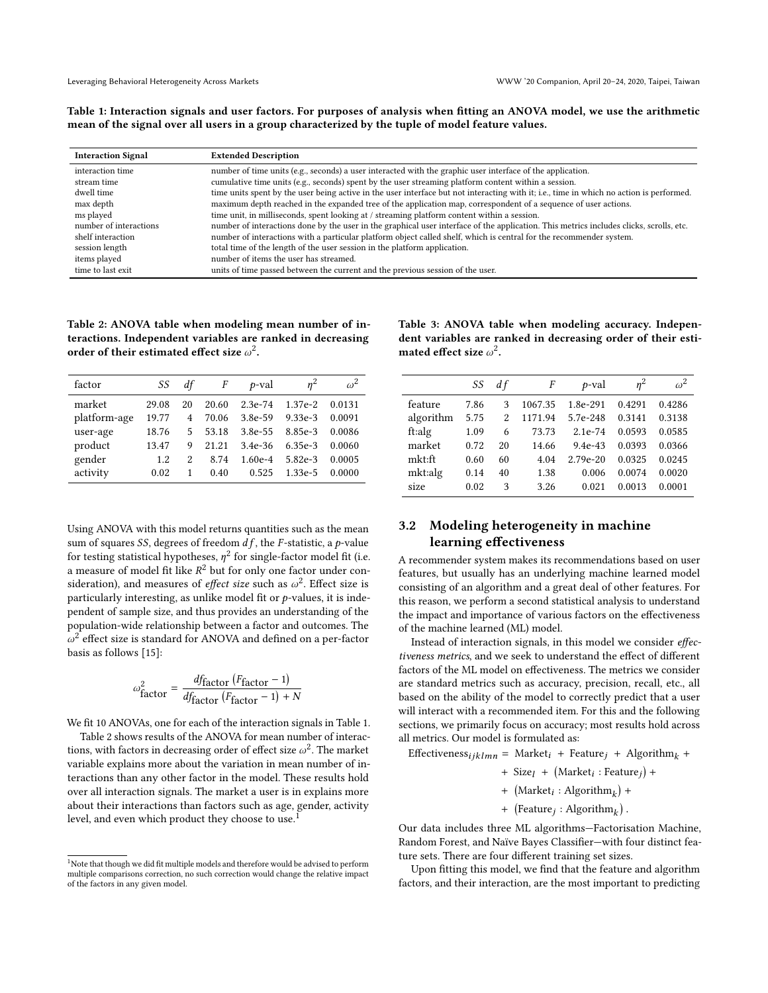<span id="page-2-0"></span>Table 1: Interaction signals and user factors. For purposes of analysis when fitting an ANOVA model, we use the arithmetic mean of the signal over all users in a group characterized by the tuple of model feature values.

| <b>Interaction Signal</b> | <b>Extended Description</b>                                                                                                              |
|---------------------------|------------------------------------------------------------------------------------------------------------------------------------------|
| interaction time          | number of time units (e.g., seconds) a user interacted with the graphic user interface of the application.                               |
| stream time               | cumulative time units (e.g., seconds) spent by the user streaming platform content within a session.                                     |
| dwell time                | time units spent by the user being active in the user interface but not interacting with it; i.e., time in which no action is performed. |
| max depth                 | maximum depth reached in the expanded tree of the application map, correspondent of a sequence of user actions.                          |
| ms played                 | time unit, in milliseconds, spent looking at / streaming platform content within a session.                                              |
| number of interactions    | number of interactions done by the user in the graphical user interface of the application. This metrics includes clicks, scrolls, etc.  |
| shelf interaction         | number of interactions with a particular platform object called shelf, which is central for the recommender system.                      |
| session length            | total time of the length of the user session in the platform application.                                                                |
| items played              | number of items the user has streamed.                                                                                                   |
| time to last exit.        | units of time passed between the current and the previous session of the user.                                                           |

# <span id="page-2-1"></span>Table 2: ANOVA table when modeling mean number of interactions. Independent variables are ranked in decreasing order of their estimated effect size  $\omega^2$ .

<span id="page-2-3"></span>Table 3: ANOVA table when modeling accuracy. Independent variables are ranked in decreasing order of their estimated effect size  $\omega^2$ .

| factor       | SS    | df | F     | p-val       | n <sup>2</sup> | $\omega^2$ |
|--------------|-------|----|-------|-------------|----------------|------------|
| market       | 29.08 | 20 | 20.60 | $2.3e-74$   | $1.37e-2$      | 0.0131     |
| platform-age | 19.77 | 4  | 70.06 | 3.8e-59     | $9.33e-3$      | 0.0091     |
| user-age     | 18.76 | 5  | 53.18 | 3.8e-55     | 8.85e-3        | 0.0086     |
| product      | 13.47 | 9  | 21.21 | $3.4e - 36$ | 6.35e-3        | 0.0060     |
| gender       | 1.2   | 2  | 8.74  | $1.60e-4$   | 5.82e-3        | 0.0005     |
| activity     | 0.02  | 1  | 0.40  | 0.525       | $1.33e-5$      | 0.0000     |

Using ANOVA with this model returns quantities such as the mean sum of squares SS, degrees of freedom  $df$ , the F-statistic, a p-value for testing statistical hypotheses,  $\eta^2$  for single-factor model fit (i.e. a measure of model fit like  $R^2$  but for only one factor under consideration), and measures of *effect size* such as  $\omega^2$ . Effect size is particularly interesting, as unlike model fit or  $p$ -values, it is independent of sample size, and thus provides an understanding of the population-wide relationship between a factor and outcomes. The  $\omega^2$  effect size is standard for ANOVA and defined on a per-factor basis as follows [\[15\]](#page-7-18):

$$
\omega_{\text{factor}}^2 = \frac{df_{\text{factor}} (F_{\text{factor}} - 1)}{df_{\text{factor}} (F_{\text{factor}} - 1) + N}
$$

We fit 10 ANOVAs, one for each of the interaction signals in Table [1.](#page-2-0)

Table [2](#page-2-1) shows results of the ANOVA for mean number of interactions, with factors in decreasing order of effect size  $\omega^2$ . The market variable explains more about the variation in mean number of interactions than any other factor in the model. These results hold over all interaction signals. The market a user is in explains more about their interactions than factors such as age, gender, activity level, and even which product they choose to use.<sup>[1](#page-2-2)</sup>

|           | SS   | d f | F       | $p$ -val     | $n^2$  | $\omega^2$ |
|-----------|------|-----|---------|--------------|--------|------------|
| feature   | 7.86 | 3   | 1067.35 | 1.8e-291     | 0.4291 | 0.4286     |
| algorithm | 5.75 | 2   | 1171.94 | 5.7e-248     | 0.3141 | 0.3138     |
| ft:alg    | 1.09 | 6   | 73.73   | $2.1e-74$    | 0.0593 | 0.0585     |
| market    | 0.72 | 20  | 14.66   | $9.4e-43$    | 0.0393 | 0.0366     |
| mkt:ft    | 0.60 | 60  | 4.04    | $2.79e - 20$ | 0.0325 | 0.0245     |
| mkt:alg   | 0.14 | 40  | 1.38    | 0.006        | 0.0074 | 0.0020     |
| size      | 0.02 | 3   | 3.26    | 0.021        | 0.0013 | 0.0001     |

# <span id="page-2-4"></span>3.2 Modeling heterogeneity in machine learning effectiveness

A recommender system makes its recommendations based on user features, but usually has an underlying machine learned model consisting of an algorithm and a great deal of other features. For this reason, we perform a second statistical analysis to understand the impact and importance of various factors on the effectiveness of the machine learned (ML) model.

Instead of interaction signals, in this model we consider effectiveness metrics, and we seek to understand the effect of different factors of the ML model on effectiveness. The metrics we consider are standard metrics such as accuracy, precision, recall, etc., all based on the ability of the model to correctly predict that a user will interact with a recommended item. For this and the following sections, we primarily focus on accuracy; most results hold across all metrics. Our model is formulated as:

Effectiveness<sub>ijklmn</sub> = Market<sub>i</sub> + Feature<sub>j</sub> + Algorithm<sub>k</sub> +

- + Size<sub>l</sub> + (Market<sub>i</sub>: Feature<sub>j</sub>) +
- +  $\left(\text{Market}_i : \text{Algorithm}_k\right)$  +
- +  $(Feature_j : Algorithm_k)$

Our data includes three ML algorithms—Factorisation Machine, Random Forest, and Naïve Bayes Classifier—with four distinct feature sets. There are four different training set sizes.

Upon fitting this model, we find that the feature and algorithm factors, and their interaction, are the most important to predicting

<span id="page-2-2"></span> $^{\rm 1}$  Note that though we did fit multiple models and therefore would be advised to perform multiple comparisons correction, no such correction would change the relative impact of the factors in any given model.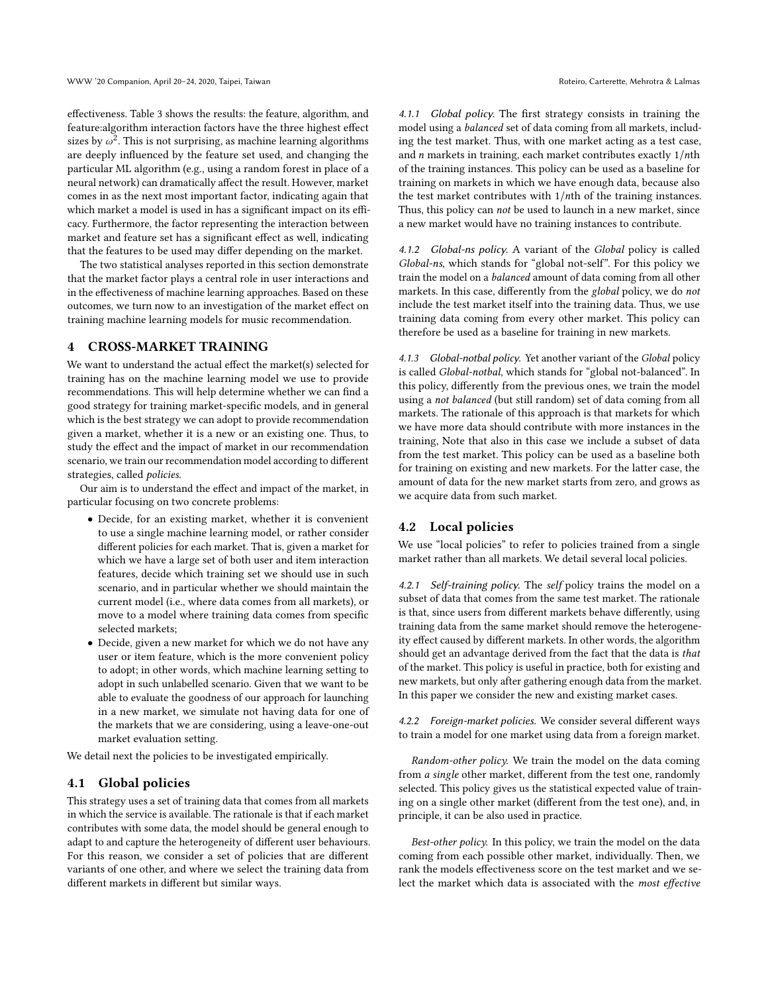effectiveness. Table [3](#page-2-3) shows the results: the feature, algorithm, and feature:algorithm interaction factors have the three highest effect sizes by  $\omega^2$ . This is not surprising, as machine learning algorithms are deeply influenced by the feature set used, and changing the particular ML algorithm (e.g., using a random forest in place of a neural network) can dramatically affect the result. However, market comes in as the next most important factor, indicating again that which market a model is used in has a significant impact on its efficacy. Furthermore, the factor representing the interaction between market and feature set has a significant effect as well, indicating that the features to be used may differ depending on the market.

The two statistical analyses reported in this section demonstrate that the market factor plays a central role in user interactions and in the effectiveness of machine learning approaches. Based on these outcomes, we turn now to an investigation of the market effect on training machine learning models for music recommendation.

# <span id="page-3-0"></span>4 CROSS-MARKET TRAINING

We want to understand the actual effect the market(s) selected for training has on the machine learning model we use to provide recommendations. This will help determine whether we can find a good strategy for training market-specific models, and in general which is the best strategy we can adopt to provide recommendation given a market, whether it is a new or an existing one. Thus, to study the effect and the impact of market in our recommendation scenario, we train our recommendation model according to different strategies, called policies.

Our aim is to understand the effect and impact of the market, in particular focusing on two concrete problems:

- Decide, for an existing market, whether it is convenient to use a single machine learning model, or rather consider different policies for each market. That is, given a market for which we have a large set of both user and item interaction features, decide which training set we should use in such scenario, and in particular whether we should maintain the current model (i.e., where data comes from all markets), or move to a model where training data comes from specific selected markets;
- Decide, given a new market for which we do not have any user or item feature, which is the more convenient policy to adopt; in other words, which machine learning setting to adopt in such unlabelled scenario. Given that we want to be able to evaluate the goodness of our approach for launching in a new market, we simulate not having data for one of the markets that we are considering, using a leave-one-out market evaluation setting.

We detail next the policies to be investigated empirically.

#### 4.1 Global policies

This strategy uses a set of training data that comes from all markets in which the service is available. The rationale is that if each market contributes with some data, the model should be general enough to adapt to and capture the heterogeneity of different user behaviours. For this reason, we consider a set of policies that are different variants of one other, and where we select the training data from different markets in different but similar ways.

4.1.1 Global policy. The first strategy consists in training the model using a balanced set of data coming from all markets, including the test market. Thus, with one market acting as a test case, and  $n$  markets in training, each market contributes exactly  $1/n$ th of the training instances. This policy can be used as a baseline for training on markets in which we have enough data, because also the test market contributes with  $1/nth$  of the training instances. Thus, this policy can not be used to launch in a new market, since a new market would have no training instances to contribute.

4.1.2 Global-ns policy. A variant of the Global policy is called Global-ns, which stands for "global not-self". For this policy we train the model on a balanced amount of data coming from all other markets. In this case, differently from the global policy, we do not include the test market itself into the training data. Thus, we use training data coming from every other market. This policy can therefore be used as a baseline for training in new markets.

4.1.3 Global-notbal policy. Yet another variant of the Global policy is called Global-notbal, which stands for "global not-balanced". In this policy, differently from the previous ones, we train the model using a not balanced (but still random) set of data coming from all markets. The rationale of this approach is that markets for which we have more data should contribute with more instances in the training, Note that also in this case we include a subset of data from the test market. This policy can be used as a baseline both for training on existing and new markets. For the latter case, the amount of data for the new market starts from zero, and grows as we acquire data from such market.

#### 4.2 Local policies

We use "local policies" to refer to policies trained from a single market rather than all markets. We detail several local policies.

4.2.1 Self-training policy. The self policy trains the model on a subset of data that comes from the same test market. The rationale is that, since users from different markets behave differently, using training data from the same market should remove the heterogeneity effect caused by different markets. In other words, the algorithm should get an advantage derived from the fact that the data is that of the market. This policy is useful in practice, both for existing and new markets, but only after gathering enough data from the market. In this paper we consider the new and existing market cases.

4.2.2 Foreign-market policies. We consider several different ways to train a model for one market using data from a foreign market.

Random-other policy. We train the model on the data coming from a single other market, different from the test one, randomly selected. This policy gives us the statistical expected value of training on a single other market (different from the test one), and, in principle, it can be also used in practice.

Best-other policy. In this policy, we train the model on the data coming from each possible other market, individually. Then, we rank the models effectiveness score on the test market and we select the market which data is associated with the most effective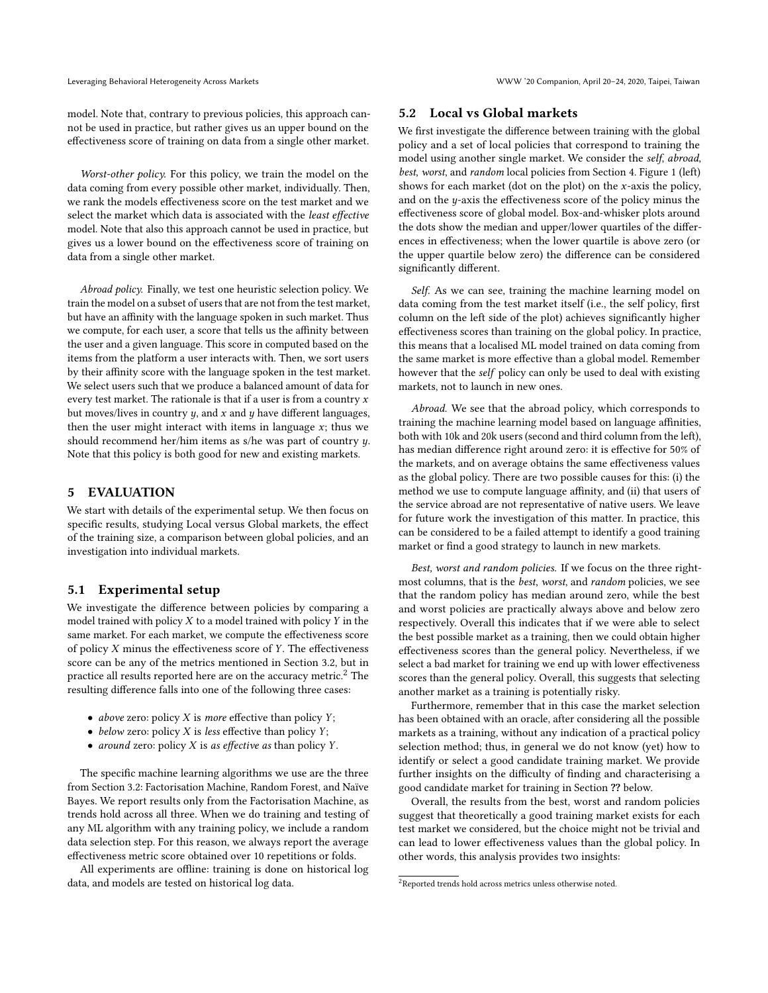model. Note that, contrary to previous policies, this approach cannot be used in practice, but rather gives us an upper bound on the effectiveness score of training on data from a single other market.

Worst-other policy. For this policy, we train the model on the data coming from every possible other market, individually. Then, we rank the models effectiveness score on the test market and we select the market which data is associated with the least effective model. Note that also this approach cannot be used in practice, but gives us a lower bound on the effectiveness score of training on data from a single other market.

Abroad policy. Finally, we test one heuristic selection policy. We train the model on a subset of users that are not from the test market, but have an affinity with the language spoken in such market. Thus we compute, for each user, a score that tells us the affinity between the user and a given language. This score in computed based on the items from the platform a user interacts with. Then, we sort users by their affinity score with the language spoken in the test market. We select users such that we produce a balanced amount of data for every test market. The rationale is that if a user is from a country  $x$ but moves/lives in country  $y$ , and  $x$  and  $y$  have different languages, then the user might interact with items in language  $x$ ; thus we should recommend her/him items as s/he was part of country y. Note that this policy is both good for new and existing markets.

# 5 EVALUATION

We start with details of the experimental setup. We then focus on specific results, studying Local versus Global markets, the effect of the training size, a comparison between global policies, and an investigation into individual markets.

## 5.1 Experimental setup

We investigate the difference between policies by comparing a model trained with policy  $X$  to a model trained with policy  $Y$  in the same market. For each market, we compute the effectiveness score of policy  $X$  minus the effectiveness score of  $Y$ . The effectiveness score can be any of the metrics mentioned in Section [3.2,](#page-2-4) but in practice all results reported here are on the accuracy metric.<sup>[2](#page-4-0)</sup> The resulting difference falls into one of the following three cases:

- above zero: policy  $X$  is more effective than policy  $Y$ ;
- below zero: policy  $X$  is less effective than policy  $Y$ ;
- around zero: policy  $X$  is as effective as than policy  $Y$ .

The specific machine learning algorithms we use are the three from Section [3.2:](#page-2-4) Factorisation Machine, Random Forest, and Naïve Bayes. We report results only from the Factorisation Machine, as trends hold across all three. When we do training and testing of any ML algorithm with any training policy, we include a random data selection step. For this reason, we always report the average effectiveness metric score obtained over 10 repetitions or folds.

All experiments are offline: training is done on historical log data, and models are tested on historical log data.

#### 5.2 Local vs Global markets

We first investigate the difference between training with the global policy and a set of local policies that correspond to training the model using another single market. We consider the self, abroad, best, worst, and random local policies from Section [4.](#page-3-0) Figure [1](#page-5-0) (left) shows for each market (dot on the plot) on the  $x$ -axis the policy, and on the y-axis the effectiveness score of the policy minus the effectiveness score of global model. Box-and-whisker plots around the dots show the median and upper/lower quartiles of the differences in effectiveness; when the lower quartile is above zero (or the upper quartile below zero) the difference can be considered significantly different.

Self. As we can see, training the machine learning model on data coming from the test market itself (i.e., the self policy, first column on the left side of the plot) achieves significantly higher effectiveness scores than training on the global policy. In practice, this means that a localised ML model trained on data coming from the same market is more effective than a global model. Remember however that the self policy can only be used to deal with existing markets, not to launch in new ones.

Abroad. We see that the abroad policy, which corresponds to training the machine learning model based on language affinities, both with 10k and 20k users (second and third column from the left), has median difference right around zero: it is effective for 50% of the markets, and on average obtains the same effectiveness values as the global policy. There are two possible causes for this: (i) the method we use to compute language affinity, and (ii) that users of the service abroad are not representative of native users. We leave for future work the investigation of this matter. In practice, this can be considered to be a failed attempt to identify a good training market or find a good strategy to launch in new markets.

Best, worst and random policies. If we focus on the three rightmost columns, that is the best, worst, and random policies, we see that the random policy has median around zero, while the best and worst policies are practically always above and below zero respectively. Overall this indicates that if we were able to select the best possible market as a training, then we could obtain higher effectiveness scores than the general policy. Nevertheless, if we select a bad market for training we end up with lower effectiveness scores than the general policy. Overall, this suggests that selecting another market as a training is potentially risky.

Furthermore, remember that in this case the market selection has been obtained with an oracle, after considering all the possible markets as a training, without any indication of a practical policy selection method; thus, in general we do not know (yet) how to identify or select a good candidate training market. We provide further insights on the difficulty of finding and characterising a good candidate market for training in Section ?? below.

Overall, the results from the best, worst and random policies suggest that theoretically a good training market exists for each test market we considered, but the choice might not be trivial and can lead to lower effectiveness values than the global policy. In other words, this analysis provides two insights:

<span id="page-4-0"></span><sup>2</sup>Reported trends hold across metrics unless otherwise noted.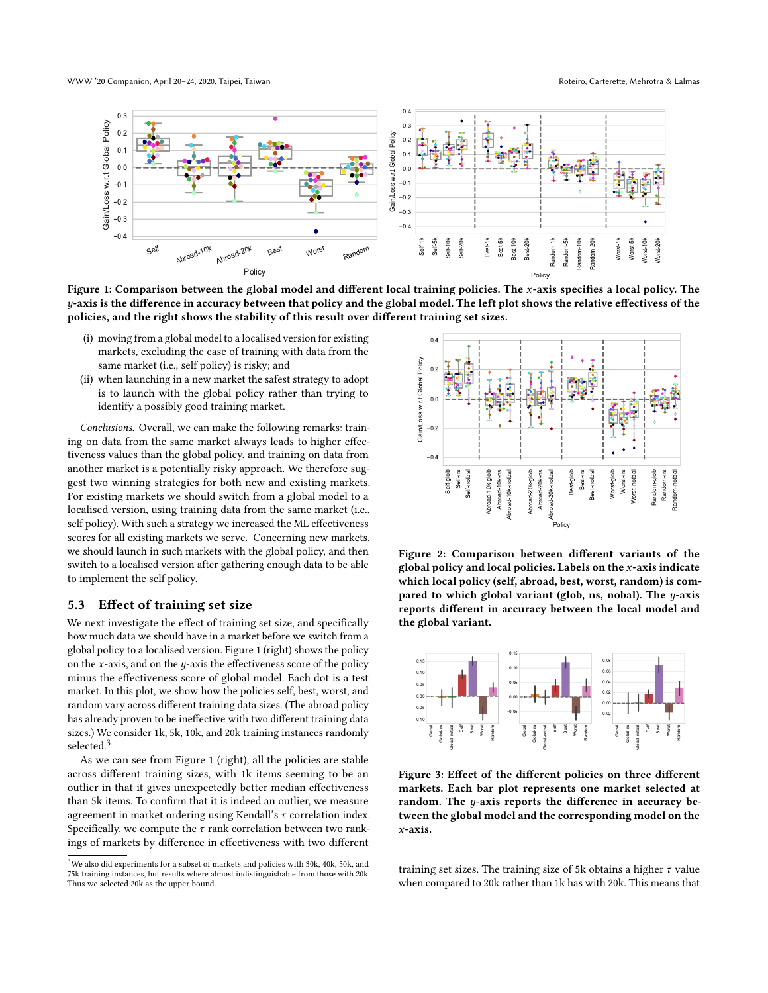<span id="page-5-0"></span>WWW '20 Companion, April 20-24, 2020, Taipei, Taiwan Roteiro, Carterette, Mehrotra & Lalmas



Figure 1: Comparison between the global model and different local training policies. The  $x$ -axis specifies a local policy. The y-axis is the difference in accuracy between that policy and the global model. The left plot shows the relative effectivess of the policies, and the right shows the stability of this result over different training set sizes.

- (i) moving from a global model to a localised version for existing markets, excluding the case of training with data from the same market (i.e., self policy) is risky; and
- (ii) when launching in a new market the safest strategy to adopt is to launch with the global policy rather than trying to identify a possibly good training market.

Conclusions. Overall, we can make the following remarks: training on data from the same market always leads to higher effectiveness values than the global policy, and training on data from another market is a potentially risky approach. We therefore suggest two winning strategies for both new and existing markets. For existing markets we should switch from a global model to a localised version, using training data from the same market (i.e., self policy). With such a strategy we increased the ML effectiveness scores for all existing markets we serve. Concerning new markets, we should launch in such markets with the global policy, and then switch to a localised version after gathering enough data to be able to implement the self policy.

## 5.3 Effect of training set size

We next investigate the effect of training set size, and specifically how much data we should have in a market before we switch from a global policy to a localised version. Figure [1](#page-5-0) (right) shows the policy on the x-axis, and on the  $y$ -axis the effectiveness score of the policy minus the effectiveness score of global model. Each dot is a test market. In this plot, we show how the policies self, best, worst, and random vary across different training data sizes. (The abroad policy has already proven to be ineffective with two different training data sizes.) We consider 1k, 5k, 10k, and 20k training instances randomly selected.<sup>[3](#page-5-1)</sup> another market we should switch a population and activation and the upper existing markets.<br>
For existing markets we should switch from a global model to a<br>
for existing markets of the upper bound. Self-model witch from a

As we can see from Figure [1](#page-5-0) (right), all the policies are stable across different training sizes, with 1k items seeming to be an outlier in that it gives unexpectedly better median effectiveness than 5k items. To confirm that it is indeed an outlier, we measure agreement in market ordering using Kendall's  $\tau$  correlation index. Specifically, we compute the  $\tau$  rank correlation between two rankings of markets by difference in effectiveness with two different

<span id="page-5-2"></span>

Figure 2: Comparison between different variants of the global policy and local policies. Labels on the  $x$ -axis indicate which local policy (self, abroad, best, worst, random) is compared to which global variant (glob, ns, nobal). The  $y$ -axis reports different in accuracy between the local model and the global variant.

<span id="page-5-3"></span>

Figure 3: Effect of the different policies on three different markets. Each bar plot represents one market selected at random. The y-axis reports the difference in accuracy between the global model and the corresponding model on the x-axis.

training set sizes. The training size of 5k obtains a higher  $\tau$  value when compared to 20k rather than 1k has with 20k. This means that

<span id="page-5-1"></span><sup>3</sup>We also did experiments for a subset of markets and policies with 30k, 40k, 50k, and 75k training instances, but results where almost indistinguishable from those with 20k.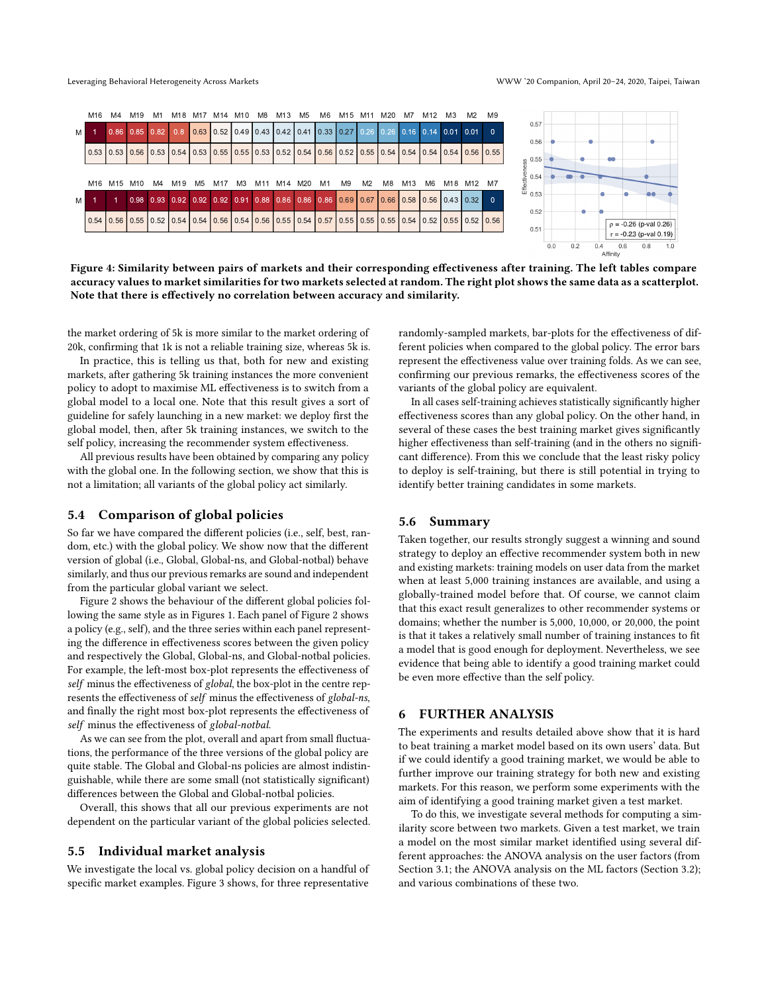<span id="page-6-0"></span>

Figure 4: Similarity between pairs of markets and their corresponding effectiveness after training. The left tables compare accuracy values to market similarities for two markets selected at random. The right plot shows the same data as a scatterplot. Note that there is effectively no correlation between accuracy and similarity.

the market ordering of 5k is more similar to the market ordering of 20k, confirming that 1k is not a reliable training size, whereas 5k is.

In practice, this is telling us that, both for new and existing markets, after gathering 5k training instances the more convenient policy to adopt to maximise ML effectiveness is to switch from a global model to a local one. Note that this result gives a sort of guideline for safely launching in a new market: we deploy first the global model, then, after 5k training instances, we switch to the self policy, increasing the recommender system effectiveness.

All previous results have been obtained by comparing any policy with the global one. In the following section, we show that this is not a limitation; all variants of the global policy act similarly.

#### 5.4 Comparison of global policies

So far we have compared the different policies (i.e., self, best, random, etc.) with the global policy. We show now that the different version of global (i.e., Global, Global-ns, and Global-notbal) behave similarly, and thus our previous remarks are sound and independent from the particular global variant we select.

Figure [2](#page-5-2) shows the behaviour of the different global policies following the same style as in Figures [1.](#page-5-0) Each panel of Figure [2](#page-5-2) shows a policy (e.g., self), and the three series within each panel representing the difference in effectiveness scores between the given policy and respectively the Global, Global-ns, and Global-notbal policies. For example, the left-most box-plot represents the effectiveness of self minus the effectiveness of global, the box-plot in the centre represents the effectiveness of self minus the effectiveness of global-ns, and finally the right most box-plot represents the effectiveness of self minus the effectiveness of global-notbal.

As we can see from the plot, overall and apart from small fluctuations, the performance of the three versions of the global policy are quite stable. The Global and Global-ns policies are almost indistinguishable, while there are some small (not statistically significant) differences between the Global and Global-notbal policies.

Overall, this shows that all our previous experiments are not dependent on the particular variant of the global policies selected.

#### 5.5 Individual market analysis

We investigate the local vs. global policy decision on a handful of specific market examples. Figure [3](#page-5-3) shows, for three representative

randomly-sampled markets, bar-plots for the effectiveness of different policies when compared to the global policy. The error bars represent the effectiveness value over training folds. As we can see, confirming our previous remarks, the effectiveness scores of the variants of the global policy are equivalent.

In all cases self-training achieves statistically significantly higher effectiveness scores than any global policy. On the other hand, in several of these cases the best training market gives significantly higher effectiveness than self-training (and in the others no significant difference). From this we conclude that the least risky policy to deploy is self-training, but there is still potential in trying to identify better training candidates in some markets.

#### 5.6 Summary

Taken together, our results strongly suggest a winning and sound strategy to deploy an effective recommender system both in new and existing markets: training models on user data from the market when at least 5,000 training instances are available, and using a globally-trained model before that. Of course, we cannot claim that this exact result generalizes to other recommender systems or domains; whether the number is 5,000, 10,000, or 20,000, the point is that it takes a relatively small number of training instances to fit a model that is good enough for deployment. Nevertheless, we see evidence that being able to identify a good training market could be even more effective than the self policy.

#### 6 FURTHER ANALYSIS

The experiments and results detailed above show that it is hard to beat training a market model based on its own users' data. But if we could identify a good training market, we would be able to further improve our training strategy for both new and existing markets. For this reason, we perform some experiments with the aim of identifying a good training market given a test market.

To do this, we investigate several methods for computing a similarity score between two markets. Given a test market, we train a model on the most similar market identified using several different approaches: the ANOVA analysis on the user factors (from Section [3.1;](#page-1-0) the ANOVA analysis on the ML factors (Section [3.2\)](#page-2-4); and various combinations of these two.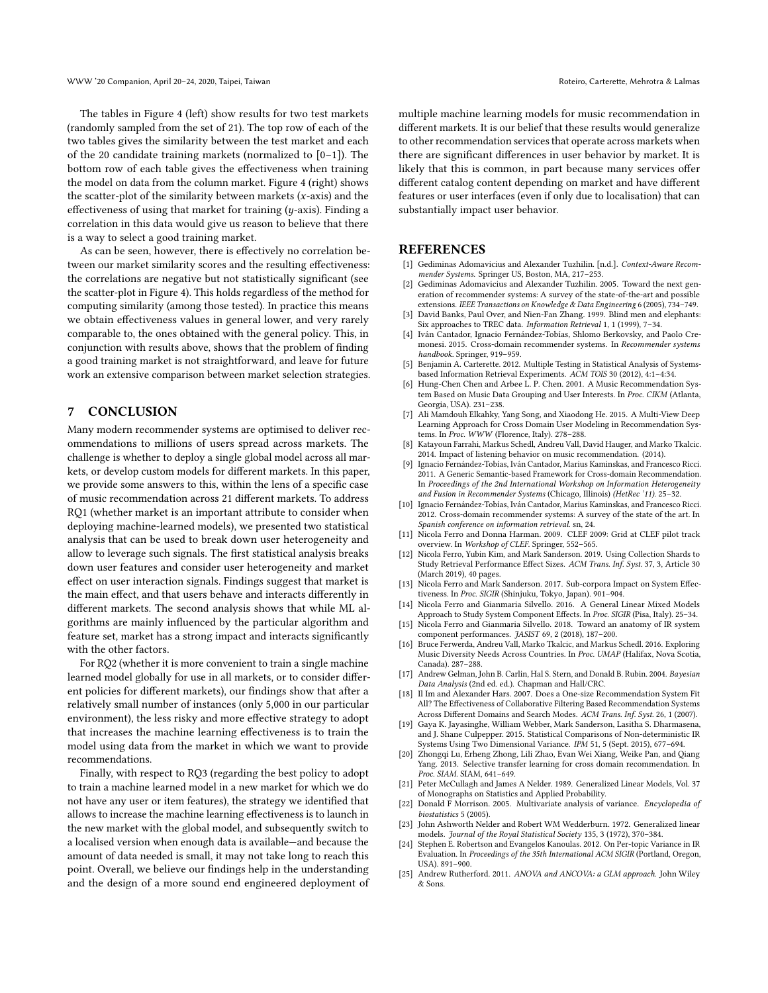The tables in Figure [4](#page-6-0) (left) show results for two test markets (randomly sampled from the set of 21). The top row of each of the two tables gives the similarity between the test market and each of the 20 candidate training markets (normalized to [0–1]). The bottom row of each table gives the effectiveness when training the model on data from the column market. Figure [4](#page-6-0) (right) shows the scatter-plot of the similarity between markets  $(x-axis)$  and the effectiveness of using that market for training  $(y\text{-axis})$ . Finding a correlation in this data would give us reason to believe that there is a way to select a good training market.

As can be seen, however, there is effectively no correlation between our market similarity scores and the resulting effectiveness: the correlations are negative but not statistically significant (see the scatter-plot in Figure [4\)](#page-6-0). This holds regardless of the method for computing similarity (among those tested). In practice this means we obtain effectiveness values in general lower, and very rarely comparable to, the ones obtained with the general policy. This, in conjunction with results above, shows that the problem of finding a good training market is not straightforward, and leave for future work an extensive comparison between market selection strategies.

# 7 CONCLUSION

Many modern recommender systems are optimised to deliver recommendations to millions of users spread across markets. The challenge is whether to deploy a single global model across all markets, or develop custom models for different markets. In this paper, we provide some answers to this, within the lens of a specific case of music recommendation across 21 different markets. To address RQ1 (whether market is an important attribute to consider when deploying machine-learned models), we presented two statistical analysis that can be used to break down user heterogeneity and allow to leverage such signals. The first statistical analysis breaks down user features and consider user heterogeneity and market effect on user interaction signals. Findings suggest that market is the main effect, and that users behave and interacts differently in different markets. The second analysis shows that while ML algorithms are mainly influenced by the particular algorithm and feature set, market has a strong impact and interacts significantly with the other factors.

For RQ2 (whether it is more convenient to train a single machine learned model globally for use in all markets, or to consider different policies for different markets), our findings show that after a relatively small number of instances (only 5,000 in our particular environment), the less risky and more effective strategy to adopt that increases the machine learning effectiveness is to train the model using data from the market in which we want to provide recommendations.

Finally, with respect to RQ3 (regarding the best policy to adopt to train a machine learned model in a new market for which we do not have any user or item features), the strategy we identified that allows to increase the machine learning effectiveness is to launch in the new market with the global model, and subsequently switch to a localised version when enough data is available—and because the amount of data needed is small, it may not take long to reach this point. Overall, we believe our findings help in the understanding and the design of a more sound end engineered deployment of multiple machine learning models for music recommendation in different markets. It is our belief that these results would generalize to other recommendation services that operate across markets when there are significant differences in user behavior by market. It is likely that this is common, in part because many services offer different catalog content depending on market and have different features or user interfaces (even if only due to localisation) that can substantially impact user behavior.

# **REFERENCES**

- <span id="page-7-0"></span>[1] Gediminas Adomavicius and Alexander Tuzhilin. [n.d.]. Context-Aware Recommender Systems. Springer US, Boston, MA, 217–253.
- <span id="page-7-1"></span>[2] Gediminas Adomavicius and Alexander Tuzhilin. 2005. Toward the next generation of recommender systems: A survey of the state-of-the-art and possible extensions. IEEE Transactions on Knowledge & Data Engineering 6 (2005), 734–749.
- <span id="page-7-11"></span>David Banks, Paul Over, and Nien-Fan Zhang. 1999. Blind men and elephants: Six approaches to TREC data. Information Retrieval 1, 1 (1999), 7–34.
- <span id="page-7-20"></span>[4] Iván Cantador, Ignacio Fernández-Tobías, Shlomo Berkovsky, and Paolo Cremonesi. 2015. Cross-domain recommender systems. In Recommender systems handbook. Springer, 919–959.
- <span id="page-7-12"></span>[5] Benjamin A. Carterette. 2012. Multiple Testing in Statistical Analysis of Systemsbased Information Retrieval Experiments. ACM TOIS 30 (2012), 4:1–4:34.
- <span id="page-7-2"></span>[6] Hung-Chen Chen and Arbee L. P. Chen. 2001. A Music Recommendation System Based on Music Data Grouping and User Interests. In Proc. CIKM (Atlanta, Georgia, USA). 231–238.
- <span id="page-7-23"></span>[7] Ali Mamdouh Elkahky, Yang Song, and Xiaodong He. 2015. A Multi-View Deep Learning Approach for Cross Domain User Modeling in Recommendation Systems. In Proc. WWW (Florence, Italy). 278–288.
- <span id="page-7-4"></span>[8] Katayoun Farrahi, Markus Schedl, Andreu Vall, David Hauger, and Marko Tkalcic. 2014. Impact of listening behavior on music recommendation. (2014).
- <span id="page-7-22"></span>[9] Ignacio Fernández-Tobías, Iván Cantador, Marius Kaminskas, and Francesco Ricci. 2011. A Generic Semantic-based Framework for Cross-domain Recommendation. In Proceedings of the 2nd International Workshop on Information Heterogeneity and Fusion in Recommender Systems (Chicago, Illinois) (HetRec '11). 25–32.
- <span id="page-7-21"></span>[10] Ignacio Fernández-Tobías, Iván Cantador, Marius Kaminskas, and Francesco Ricci. 2012. Cross-domain recommender systems: A survey of the state of the art. In Spanish conference on information retrieval. sn, 24.
- <span id="page-7-19"></span>[11] Nicola Ferro and Donna Harman. 2009. CLEF 2009: Grid at CLEF pilot track overview. In Workshop of CLEF. Springer, 552–565.
- <span id="page-7-16"></span>[12] Nicola Ferro, Yubin Kim, and Mark Sanderson. 2019. Using Collection Shards to Study Retrieval Performance Effect Sizes. ACM Trans. Inf. Syst. 37, 3, Article 30 (March 2019), 40 pages.
- <span id="page-7-15"></span>[13] Nicola Ferro and Mark Sanderson. 2017. Sub-corpora Impact on System Effectiveness. In Proc. SIGIR (Shinjuku, Tokyo, Japan). 901–904.
- <span id="page-7-17"></span>[14] Nicola Ferro and Gianmaria Silvello. 2016. A General Linear Mixed Models Approach to Study System Component Effects. In Proc. SIGIR (Pisa, Italy). 25–34.
- <span id="page-7-18"></span>[15] Nicola Ferro and Gianmaria Silvello. 2018. Toward an anatomy of IR system component performances. JASIST 69, 2 (2018), 187–200.
- <span id="page-7-5"></span>[16] Bruce Ferwerda, Andreu Vall, Marko Tkalcic, and Markus Schedl. 2016. Exploring Music Diversity Needs Across Countries. In Proc. UMAP (Halifax, Nova Scotia, Canada). 287–288.
- <span id="page-7-6"></span>[17] Andrew Gelman, John B. Carlin, Hal S. Stern, and Donald B. Rubin. 2004. Bayesian Data Analysis (2nd ed. ed.). Chapman and Hall/CRC.
- <span id="page-7-3"></span>[18] Il Im and Alexander Hars. 2007. Does a One-size Recommendation System Fit All? The Effectiveness of Collaborative Filtering Based Recommendation Systems Across Different Domains and Search Modes. ACM Trans. Inf. Syst. 26, 1 (2007).
- <span id="page-7-13"></span>[19] Gaya K. Jayasinghe, William Webber, Mark Sanderson, Lasitha S. Dharmasena, and J. Shane Culpepper. 2015. Statistical Comparisons of Non-deterministic IR Systems Using Two Dimensional Variance. IPM 51, 5 (Sept. 2015), 677–694.
- <span id="page-7-24"></span>[20] Zhongqi Lu, Erheng Zhong, Lili Zhao, Evan Wei Xiang, Weike Pan, and Qiang Yang. 2013. Selective transfer learning for cross domain recommendation. In Proc. SIAM. SIAM, 641–649.
- <span id="page-7-7"></span>[21] Peter McCullagh and James A Nelder. 1989. Generalized Linear Models, Vol. 37 of Monographs on Statistics and Applied Probability.
- <span id="page-7-9"></span>[22] Donald F Morrison. 2005. Multivariate analysis of variance. Encyclopedia of biostatistics 5 (2005).
- <span id="page-7-8"></span>[23] John Ashworth Nelder and Robert WM Wedderburn. 1972. Generalized linear models. Journal of the Royal Statistical Society 135, 3 (1972), 370–384.
- <span id="page-7-14"></span>[24] Stephen E. Robertson and Evangelos Kanoulas. 2012. On Per-topic Variance in IR Evaluation. In Proceedings of the 35th International ACM SIGIR (Portland, Oregon, USA). 891–900.
- <span id="page-7-10"></span>[25] Andrew Rutherford. 2011. ANOVA and ANCOVA: a GLM approach. John Wiley & Sons.